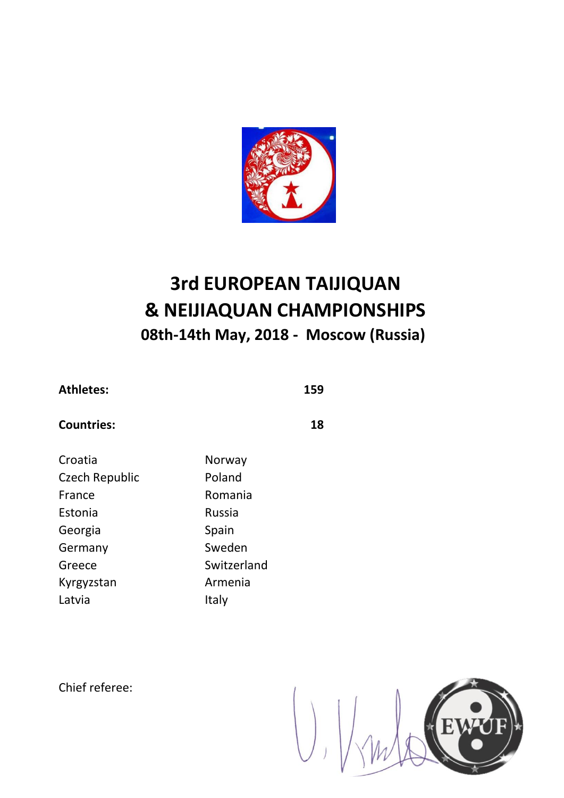

| <b>Athletes:</b> | 159 |
|------------------|-----|
|------------------|-----|

### **Countries: 18**

| Croatia        | Norway      |
|----------------|-------------|
| Czech Republic | Poland      |
| France         | Romania     |
| Estonia        | Russia      |
| Georgia        | Spain       |
| Germany        | Sweden      |
| Greece         | Switzerland |
| Kyrgyzstan     | Armenia     |
| Latvia         | Italy       |
|                |             |

Chief referee:

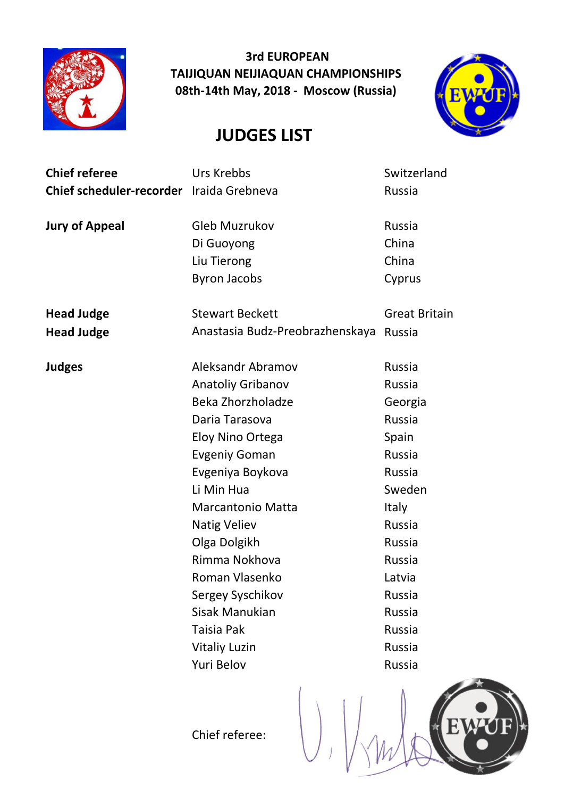

**JUDGES LIST**



EV

| <b>Chief referee</b>                     | Urs Krebbs                      | Switzerland          |
|------------------------------------------|---------------------------------|----------------------|
| Chief scheduler-recorder Iraida Grebneva |                                 | Russia               |
|                                          |                                 |                      |
| <b>Jury of Appeal</b>                    | <b>Gleb Muzrukov</b>            | Russia               |
|                                          | Di Guoyong                      | China                |
|                                          | Liu Tierong                     | China                |
|                                          | <b>Byron Jacobs</b>             | Cyprus               |
|                                          |                                 |                      |
| <b>Head Judge</b>                        | <b>Stewart Beckett</b>          | <b>Great Britain</b> |
| <b>Head Judge</b>                        | Anastasia Budz-Preobrazhenskaya | Russia               |
|                                          |                                 |                      |
| <b>Judges</b>                            | Aleksandr Abramov               | Russia               |
|                                          | <b>Anatoliy Gribanov</b>        | Russia               |
|                                          | Beka Zhorzholadze               | Georgia              |
|                                          | Daria Tarasova                  | <b>Russia</b>        |
|                                          | Eloy Nino Ortega                | Spain                |
|                                          | <b>Evgeniy Goman</b>            | Russia               |
|                                          | Evgeniya Boykova                | Russia               |
|                                          | Li Min Hua                      | Sweden               |
|                                          | <b>Marcantonio Matta</b>        | <b>Italy</b>         |
|                                          | <b>Natig Veliev</b>             | Russia               |
|                                          | Olga Dolgikh                    | Russia               |
|                                          | Rimma Nokhova                   | Russia               |
|                                          | Roman Vlasenko                  | Latvia               |
|                                          | Sergey Syschikov                | Russia               |
|                                          | Sisak Manukian                  | Russia               |
|                                          | Taisia Pak                      | Russia               |
|                                          | <b>Vitaliy Luzin</b>            | Russia               |
|                                          | Yuri Belov                      | Russia               |
|                                          |                                 |                      |

Chief referee: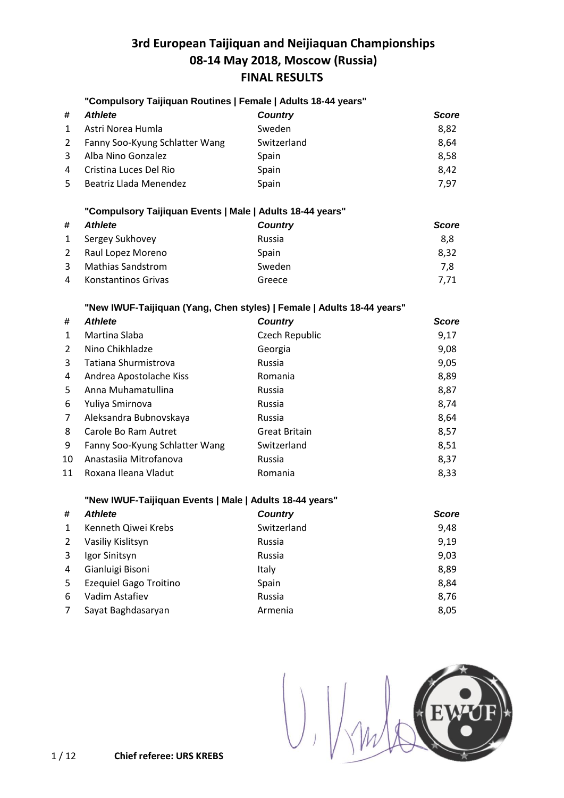### **"Compulsory Taijiquan Routines | Female | Adults 18-44 years"**

| #            | <i><b>Athlete</b></i>            | <b>Country</b> | <b>Score</b> |
|--------------|----------------------------------|----------------|--------------|
| $\mathbf{1}$ | Astri Norea Humla                | Sweden         | 8,82         |
|              | 2 Fanny Soo-Kyung Schlatter Wang | Switzerland    | 8,64         |
| 3            | Alba Nino Gonzalez               | Spain          | 8,58         |
| 4            | Cristina Luces Del Rio           | Spain          | 8.42         |
| 5            | Beatriz Llada Menendez           | Spain          | 7.97         |

#### **"Compulsory Taijiquan Events | Male | Adults 18-44 years"**

| #            | Athlete                  | <b>Country</b> | <b>Score</b> |
|--------------|--------------------------|----------------|--------------|
| $\mathbf{1}$ | Sergey Sukhovey          | Russia         | 8,8          |
| 2            | Raul Lopez Moreno        | Spain          | 8.32         |
| 3            | <b>Mathias Sandstrom</b> | Sweden         | 7.8          |
| 4            | Konstantinos Grivas      | Greece         | 7.71         |

### **"New IWUF-Taijiquan (Yang, Chen styles) | Female | Adults 18-44 years"**

| #  | <b>Athlete</b>                 | <b>Country</b>       | <b>Score</b> |
|----|--------------------------------|----------------------|--------------|
| 1  | Martina Slaba                  | Czech Republic       | 9,17         |
| 2  | Nino Chikhladze                | Georgia              | 9,08         |
| 3  | Tatiana Shurmistrova           | Russia               | 9,05         |
| 4  | Andrea Apostolache Kiss        | Romania              | 8,89         |
| 5. | Anna Muhamatullina             | Russia               | 8,87         |
| 6  | Yuliya Smirnova                | Russia               | 8,74         |
| 7  | Aleksandra Bubnovskaya         | <b>Russia</b>        | 8,64         |
| 8  | Carole Bo Ram Autret           | <b>Great Britain</b> | 8,57         |
| 9  | Fanny Soo-Kyung Schlatter Wang | Switzerland          | 8,51         |
| 10 | Anastasija Mitrofanova         | <b>Russia</b>        | 8,37         |
| 11 | Roxana Ileana Vladut           | Romania              | 8,33         |

#### **"New IWUF-Taijiquan Events | Male | Adults 18-44 years"**

| #            | <b>Athlete</b>                | <b>Country</b> | <b>Score</b> |
|--------------|-------------------------------|----------------|--------------|
| $\mathbf{1}$ | Kenneth Qiwei Krebs           | Switzerland    | 9,48         |
| 2            | Vasiliy Kislitsyn             | Russia         | 9,19         |
| 3            | Igor Sinitsyn                 | Russia         | 9,03         |
| 4            | Gianluigi Bisoni              | Italy          | 8,89         |
| 5            | <b>Ezequiel Gago Troitino</b> | Spain          | 8,84         |
| 6            | Vadim Astafiev                | Russia         | 8,76         |
| 7            | Sayat Baghdasaryan            | Armenia        | 8,05         |

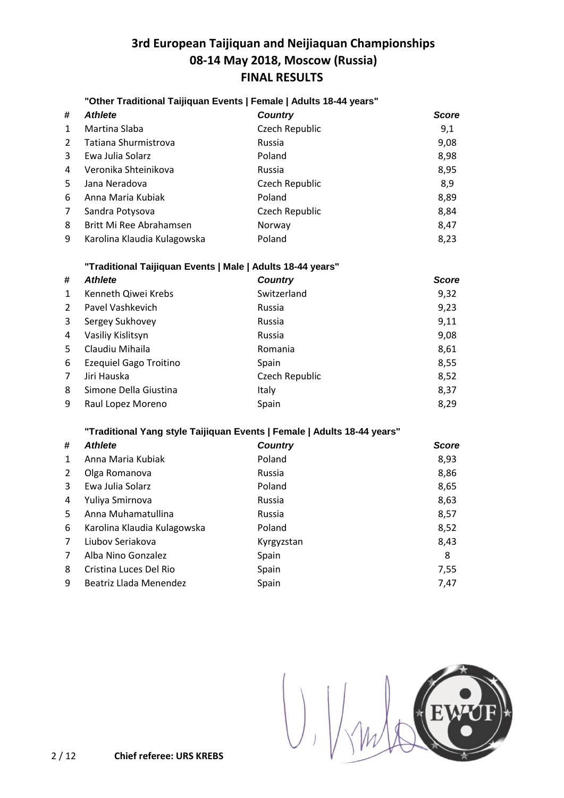#### **"Other Traditional Taijiquan Events | Female | Adults 18-44 years"**

| #            | <b>Athlete</b>              | <b>Country</b> | <b>Score</b> |
|--------------|-----------------------------|----------------|--------------|
| $\mathbf{1}$ | Martina Slaba               | Czech Republic | 9,1          |
| 2            | Tatiana Shurmistrova        | Russia         | 9,08         |
| 3            | Ewa Julia Solarz            | Poland         | 8,98         |
| 4            | Veronika Shteinikova        | Russia         | 8,95         |
| .5.          | Jana Neradova               | Czech Republic | 8,9          |
| 6            | Anna Maria Kubiak           | Poland         | 8,89         |
| 7            | Sandra Potysova             | Czech Republic | 8,84         |
| 8            | Britt Mi Ree Abrahamsen     | Norway         | 8,47         |
| 9            | Karolina Klaudia Kulagowska | Poland         | 8,23         |

### **"Traditional Taijiquan Events | Male | Adults 18-44 years"**

| #              | <b>Athlete</b>                | <b>Country</b> | <b>Score</b> |
|----------------|-------------------------------|----------------|--------------|
| 1              | Kenneth Qiwei Krebs           | Switzerland    | 9,32         |
| $\overline{2}$ | Pavel Vashkevich              | Russia         | 9,23         |
| 3              | Sergey Sukhovey               | Russia         | 9,11         |
| 4              | Vasiliy Kislitsyn             | Russia         | 9,08         |
| .5             | Claudiu Mihaila               | Romania        | 8,61         |
| 6              | <b>Ezequiel Gago Troitino</b> | Spain          | 8,55         |
| 7              | Jiri Hauska                   | Czech Republic | 8,52         |
| 8              | Simone Della Giustina         | Italy          | 8,37         |
| 9              | Raul Lopez Moreno             | Spain          | 8,29         |

#### **"Traditional Yang style Taijiquan Events | Female | Adults 18-44 years"**

| #              | <b>Athlete</b>              | <b>Country</b> | <b>Score</b> |
|----------------|-----------------------------|----------------|--------------|
| $\mathbf{1}$   | Anna Maria Kubiak           | Poland         | 8,93         |
| 2              | Olga Romanova               | Russia         | 8,86         |
| 3              | Ewa Julia Solarz            | Poland         | 8,65         |
| 4              | Yuliya Smirnova             | Russia         | 8,63         |
| 5              | Anna Muhamatullina          | Russia         | 8,57         |
| 6              | Karolina Klaudia Kulagowska | Poland         | 8,52         |
| $\overline{7}$ | Liubov Seriakova            | Kyrgyzstan     | 8,43         |
| 7              | Alba Nino Gonzalez          | Spain          | 8            |
| 8              | Cristina Luces Del Rio      | Spain          | 7,55         |
| 9              | Beatriz Llada Menendez      | Spain          | 7,47         |

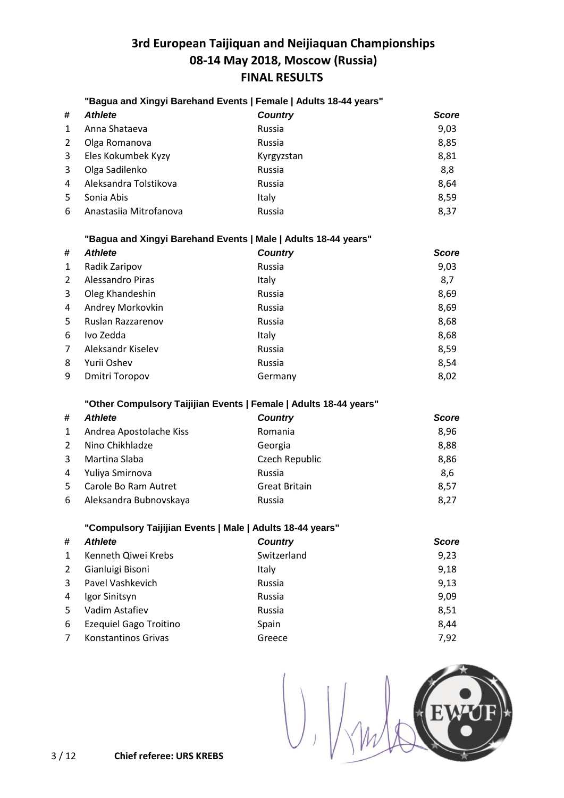### **"Bagua and Xingyi Barehand Events | Female | Adults 18-44 years"**

| #   | <b>Athlete</b>         | <b>Country</b> | <b>Score</b> |
|-----|------------------------|----------------|--------------|
| 1   | Anna Shataeva          | Russia         | 9,03         |
| 2   | Olga Romanova          | Russia         | 8,85         |
| 3   | Eles Kokumbek Kyzy     | Kyrgyzstan     | 8,81         |
| 3   | Olga Sadilenko         | Russia         | 8,8          |
| 4   | Aleksandra Tolstikova  | Russia         | 8,64         |
| .5. | Sonia Abis             | Italy          | 8,59         |
| 6   | Anastasiia Mitrofanova | Russia         | 8,37         |

#### **"Bagua and Xingyi Barehand Events | Male | Adults 18-44 years"**

| #            | <b>Athlete</b>        | <b>Country</b> | <b>Score</b> |
|--------------|-----------------------|----------------|--------------|
| $\mathbf{1}$ | Radik Zaripov         | Russia         | 9,03         |
| 2            | Alessandro Piras      | Italy          | 8,7          |
| 3            | Oleg Khandeshin       | Russia         | 8,69         |
| 4            | Andrey Morkovkin      | Russia         | 8,69         |
| 5            | Ruslan Razzarenov     | Russia         | 8,68         |
| 6            | Ivo Zedda             | Italy          | 8,68         |
| 7            | Aleksandr Kiselev     | Russia         | 8,59         |
| 8            | Yurii Oshev           | Russia         | 8,54         |
| 9            | <b>Dmitri Toropov</b> | Germany        | 8,02         |

### **"Other Compulsory Taijijian Events | Female | Adults 18-44 years"**

| #              | <b>Athlete</b>          | <b>Country</b>       | <b>Score</b> |
|----------------|-------------------------|----------------------|--------------|
| $\mathbf{1}$   | Andrea Apostolache Kiss | Romania              | 8,96         |
| 2              | Nino Chikhladze         | Georgia              | 8,88         |
| 3              | Martina Slaba           | Czech Republic       | 8,86         |
| 4              | Yuliya Smirnova         | Russia               | 8,6          |
| 5 <sup>1</sup> | Carole Bo Ram Autret    | <b>Great Britain</b> | 8,57         |
| 6              | Aleksandra Bubnovskaya  | Russia               | 8,27         |

### **"Compulsory Taijijian Events | Male | Adults 18-44 years"**

| # | <b>Athlete</b>                | <b>Country</b> | <b>Score</b> |
|---|-------------------------------|----------------|--------------|
| 1 | Kenneth Qiwei Krebs           | Switzerland    | 9,23         |
| 2 | Gianluigi Bisoni              | Italy          | 9,18         |
| 3 | Pavel Vashkevich              | Russia         | 9,13         |
| 4 | Igor Sinitsyn                 | Russia         | 9,09         |
| 5 | Vadim Astafiev                | Russia         | 8,51         |
| 6 | <b>Ezequiel Gago Troitino</b> | Spain          | 8,44         |
| 7 | Konstantinos Grivas           | Greece         | 7,92         |

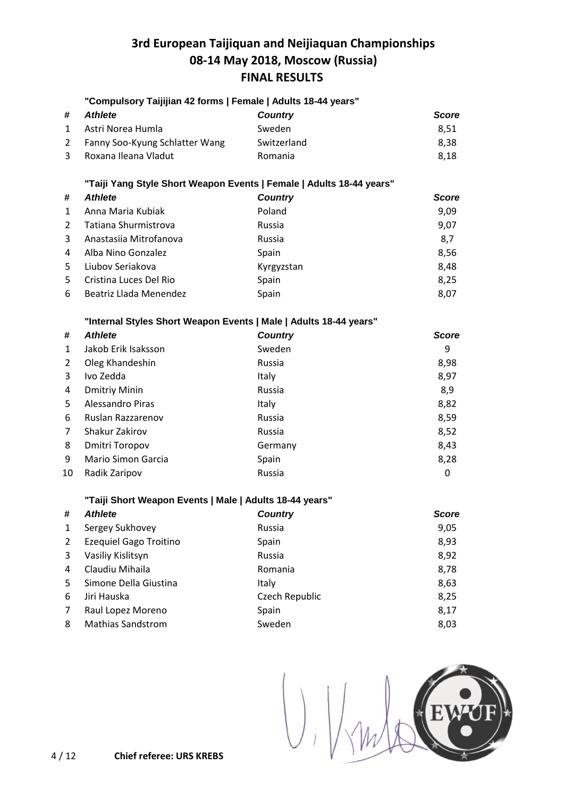### **"Compulsory Taijijian 42 forms | Female | Adults 18-44 years"**

| # | Athlete                          | <b>Country</b> | <b>Score</b> |
|---|----------------------------------|----------------|--------------|
|   | 1 Astri Norea Humla              | Sweden         | 8.51         |
|   | 2 Fanny Soo-Kyung Schlatter Wang | Switzerland    | 8.38         |
|   | 3 Roxana Ileana Vladut           | Romania        | 8.18         |

### **"Taiji Yang Style Short Weapon Events | Female | Adults 18-44 years"**

| #            | <b>Athlete</b>         | <b>Country</b> | <b>Score</b> |
|--------------|------------------------|----------------|--------------|
| $\mathbf{1}$ | Anna Maria Kubiak      | Poland         | 9,09         |
| 2            | Tatiana Shurmistrova   | Russia         | 9,07         |
| $\mathbf{3}$ | Anastasiia Mitrofanova | Russia         | 8,7          |
| 4            | Alba Nino Gonzalez     | Spain          | 8,56         |
| .5.          | Liubov Seriakova       | Kyrgyzstan     | 8,48         |
| .5.          | Cristina Luces Del Rio | Spain          | 8,25         |
| 6            | Beatriz Llada Menendez | Spain          | 8,07         |

### **"Internal Styles Short Weapon Events | Male | Adults 18-44 years"**

| #  | <b>Athlete</b>        | <b>Country</b> | <b>Score</b> |
|----|-----------------------|----------------|--------------|
| 1  | Jakob Erik Isaksson   | Sweden         | 9            |
| 2  | Oleg Khandeshin       | Russia         | 8,98         |
| 3  | Ivo Zedda             | Italy          | 8,97         |
| 4  | <b>Dmitriy Minin</b>  | Russia         | 8,9          |
| 5. | Alessandro Piras      | <b>Italy</b>   | 8,82         |
| 6  | Ruslan Razzarenov     | Russia         | 8,59         |
| 7  | Shakur Zakirov        | Russia         | 8,52         |
| 8  | <b>Dmitri Toropov</b> | Germany        | 8,43         |
| 9  | Mario Simon Garcia    | Spain          | 8,28         |
| 10 | Radik Zaripov         | Russia         | 0            |

### **"Taiji Short Weapon Events | Male | Adults 18-44 years"**

| #           | <b>Athlete</b>                | <b>Country</b> | <b>Score</b> |
|-------------|-------------------------------|----------------|--------------|
| 1           | Sergey Sukhovey               | Russia         | 9,05         |
| $2^{\circ}$ | <b>Ezequiel Gago Troitino</b> | Spain          | 8,93         |
| 3           | Vasiliy Kislitsyn             | Russia         | 8,92         |
| 4           | Claudiu Mihaila               | Romania        | 8,78         |
| 5           | Simone Della Giustina         | Italy          | 8,63         |
| 6           | Jiri Hauska                   | Czech Republic | 8,25         |
| 7           | Raul Lopez Moreno             | Spain          | 8,17         |
| 8           | <b>Mathias Sandstrom</b>      | Sweden         | 8,03         |

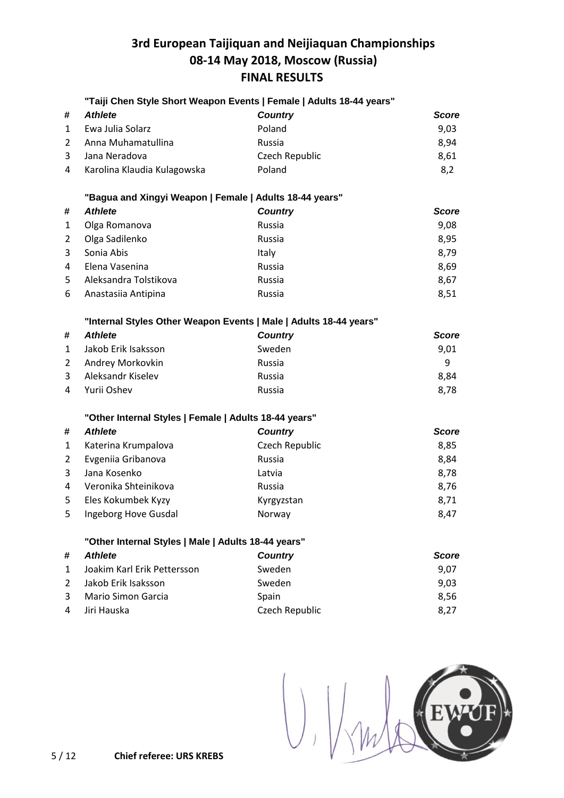|                |                                                                   | "Taiji Chen Style Short Weapon Events   Female   Adults 18-44 years" |              |
|----------------|-------------------------------------------------------------------|----------------------------------------------------------------------|--------------|
| #              | <b>Athlete</b>                                                    | <b>Country</b>                                                       | <b>Score</b> |
| $\mathbf{1}$   | Ewa Julia Solarz                                                  | Poland                                                               | 9,03         |
| $\overline{2}$ | Anna Muhamatullina                                                | Russia                                                               | 8,94         |
| 3              | Jana Neradova                                                     | Czech Republic                                                       | 8,61         |
| 4              | Karolina Klaudia Kulagowska                                       | Poland                                                               | 8,2          |
|                | "Bagua and Xingyi Weapon   Female   Adults 18-44 years"           |                                                                      |              |
| #              | <b>Athlete</b>                                                    | <b>Country</b>                                                       | <b>Score</b> |
| 1              | Olga Romanova                                                     | Russia                                                               | 9,08         |
| 2              | Olga Sadilenko                                                    | Russia                                                               | 8,95         |
| 3              | Sonia Abis                                                        | Italy                                                                | 8,79         |
| 4              | Elena Vasenina                                                    | Russia                                                               | 8,69         |
| 5              | Aleksandra Tolstikova                                             | Russia                                                               | 8,67         |
| 6              | Anastasiia Antipina                                               | Russia                                                               | 8,51         |
|                | "Internal Styles Other Weapon Events   Male   Adults 18-44 years" |                                                                      |              |
| #              | <b>Athlete</b>                                                    | <b>Country</b>                                                       | <b>Score</b> |
| $\mathbf{1}$   | Jakob Erik Isaksson                                               | Sweden                                                               | 9,01         |
| $\overline{2}$ | Andrey Morkovkin                                                  | Russia                                                               | 9            |
| 3              | Aleksandr Kiselev                                                 | Russia                                                               | 8,84         |
| 4              | Yurii Oshev                                                       | Russia                                                               | 8,78         |
|                | "Other Internal Styles   Female   Adults 18-44 years"             |                                                                      |              |
| #              | <b>Athlete</b>                                                    | <b>Country</b>                                                       | <b>Score</b> |
| $\mathbf{1}$   | Katerina Krumpalova                                               | Czech Republic                                                       | 8,85         |
| 2              | Evgeniia Gribanova                                                | Russia                                                               | 8,84         |
| 3              | Jana Kosenko                                                      | Latvia                                                               | 8,78         |
| 4              | Veronika Shteinikova                                              | Russia                                                               | 8,76         |
| 5              | Eles Kokumbek Kyzy                                                | Kyrgyzstan                                                           | 8,71         |
| 5              | Ingeborg Hove Gusdal                                              | Norway                                                               | 8,47         |
|                | "Other Internal Styles   Male   Adults 18-44 years"               |                                                                      |              |
| #              | <b>Athlete</b>                                                    | <b>Country</b>                                                       | <b>Score</b> |
| $\mathbf{1}$   | Joakim Karl Erik Pettersson                                       | Sweden                                                               | 9,07         |
| $\overline{2}$ | Jakob Erik Isaksson                                               | Sweden                                                               | 9,03         |
| 3              | <b>Mario Simon Garcia</b>                                         | Spain                                                                | 8,56         |
| 4              | Jiri Hauska                                                       | Czech Republic                                                       | 8,27         |

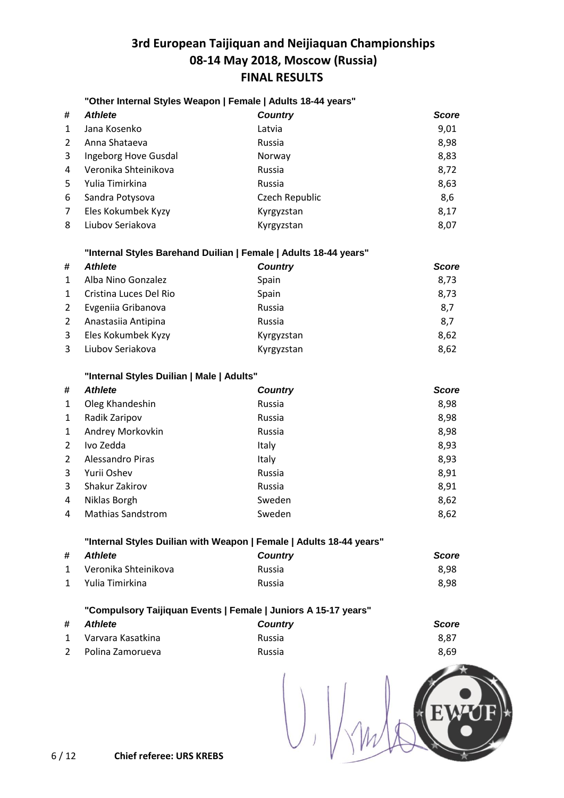### **"Other Internal Styles Weapon | Female | Adults 18-44 years"**

| #            | <b>Athlete</b>       | <b>Country</b> | <b>Score</b> |
|--------------|----------------------|----------------|--------------|
| $\mathbf{1}$ | Jana Kosenko         | Latvia         | 9,01         |
| 2            | Anna Shataeva        | Russia         | 8,98         |
| 3            | Ingeborg Hove Gusdal | Norway         | 8,83         |
| 4            | Veronika Shteinikova | Russia         | 8,72         |
| 5.           | Yulia Timirkina      | Russia         | 8,63         |
| 6            | Sandra Potysova      | Czech Republic | 8,6          |
| 7            | Eles Kokumbek Kyzy   | Kyrgyzstan     | 8,17         |
| 8            | Liubov Seriakova     | Kyrgyzstan     | 8,07         |

#### **"Internal Styles Barehand Duilian | Female | Adults 18-44 years"**

| #            | <b>Athlete</b>         | <b>Country</b> | <b>Score</b> |
|--------------|------------------------|----------------|--------------|
| $\mathbf{1}$ | Alba Nino Gonzalez     | Spain          | 8,73         |
| $\mathbf{1}$ | Cristina Luces Del Rio | Spain          | 8,73         |
| 2            | Evgeniia Gribanova     | Russia         | 8,7          |
| 2            | Anastasiia Antipina    | Russia         | 8,7          |
| 3            | Eles Kokumbek Kyzy     | Kyrgyzstan     | 8,62         |
| 3            | Liubov Seriakova       | Kyrgyzstan     | 8,62         |

#### **"Internal Styles Duilian | Male | Adults"**

| # | <b>Athlete</b>           | <b>Country</b> | <b>Score</b> |
|---|--------------------------|----------------|--------------|
| 1 | Oleg Khandeshin          | Russia         | 8,98         |
| 1 | Radik Zaripov            | Russia         | 8,98         |
| 1 | Andrey Morkovkin         | Russia         | 8,98         |
| 2 | Ivo Zedda                | Italy          | 8,93         |
| 2 | Alessandro Piras         | Italy          | 8,93         |
| 3 | Yurii Oshev              | Russia         | 8,91         |
| 3 | Shakur Zakirov           | Russia         | 8,91         |
| 4 | Niklas Borgh             | Sweden         | 8,62         |
| 4 | <b>Mathias Sandstrom</b> | Sweden         | 8,62         |

#### **"Internal Styles Duilian with Weapon | Female | Adults 18-44 years"**

| # Athlete              | <b>Country</b> | <b>Score</b> |
|------------------------|----------------|--------------|
| 1 Veronika Shteinikova | <b>Russia</b>  | 8.98         |
| 1 Yulia Timirkina      | Russia         | 8.98         |

### **"Compulsory Taijiquan Events | Female | Juniors A 15-17 years"**

| # Athlete           | <b>Country</b> | Score |
|---------------------|----------------|-------|
| 1 Varvara Kasatkina | <b>Russia</b>  | 8.87  |
| 2 Polina Zamorueva  | Russia         | 8.69  |

 $\begin{pmatrix} 1 \\ 1 \end{pmatrix}$  $E$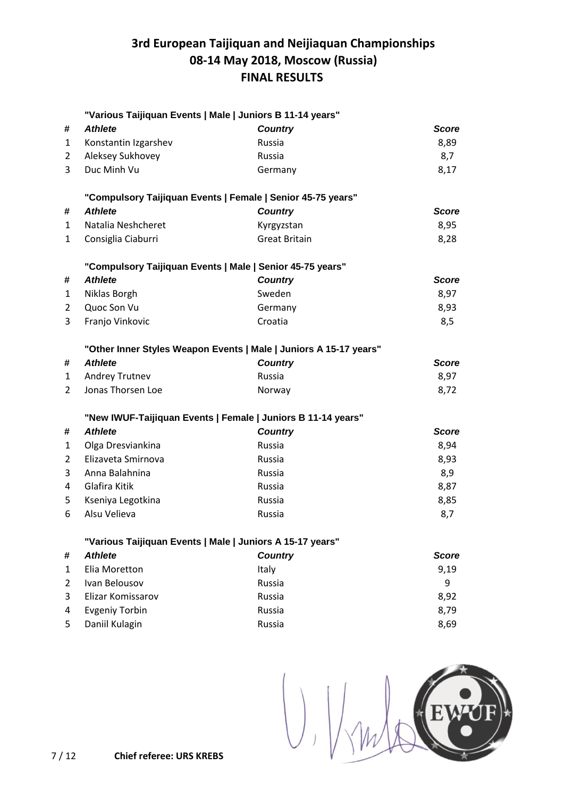|                | "Various Taijiquan Events   Male   Juniors B 11-14 years" |                                                                   |              |
|----------------|-----------------------------------------------------------|-------------------------------------------------------------------|--------------|
| #              | <b>Athlete</b>                                            | <b>Country</b>                                                    | <b>Score</b> |
| $\mathbf{1}$   | Konstantin Izgarshev                                      | Russia                                                            | 8,89         |
| $\overline{2}$ | Aleksey Sukhovey                                          | Russia                                                            | 8,7          |
| 3              | Duc Minh Vu                                               | Germany                                                           | 8,17         |
|                |                                                           | "Compulsory Taijiquan Events   Female   Senior 45-75 years"       |              |
| #              | <b>Athlete</b>                                            | <b>Country</b>                                                    | <b>Score</b> |
| 1              | Natalia Neshcheret                                        | Kyrgyzstan                                                        | 8,95         |
| $\mathbf{1}$   | Consiglia Ciaburri                                        | <b>Great Britain</b>                                              | 8,28         |
|                |                                                           | "Compulsory Taijiquan Events   Male   Senior 45-75 years"         |              |
| #              | <b>Athlete</b>                                            | <b>Country</b>                                                    | <b>Score</b> |
| 1              | Niklas Borgh                                              | Sweden                                                            | 8,97         |
| $\overline{2}$ | Quoc Son Vu                                               | Germany                                                           | 8,93         |
| 3              | Franjo Vinkovic                                           | Croatia                                                           | 8,5          |
|                |                                                           | "Other Inner Styles Weapon Events   Male   Juniors A 15-17 years" |              |
| #              | <b>Athlete</b>                                            | <b>Country</b>                                                    | <b>Score</b> |
| $\mathbf{1}$   | Andrey Trutnev                                            | <b>Russia</b>                                                     | 8,97         |
| $\overline{2}$ | Jonas Thorsen Loe                                         | Norway                                                            | 8,72         |
|                |                                                           | "New IWUF-Taijiquan Events   Female   Juniors B 11-14 years"      |              |
| #              | <b>Athlete</b>                                            | <b>Country</b>                                                    | <b>Score</b> |
| $\mathbf{1}$   | Olga Dresviankina                                         | Russia                                                            | 8,94         |
| $\overline{2}$ | Elizaveta Smirnova                                        | Russia                                                            | 8,93         |
| 3              | Anna Balahnina                                            | Russia                                                            | 8,9          |
| 4              | Glafira Kitik                                             | Russia                                                            | 8,87         |
| 5              | Kseniya Legotkina                                         | <b>Russia</b>                                                     | 8,85         |
| 6              | Alsu Velieva                                              | Russia                                                            | 8,7          |
|                | "Various Taijiquan Events   Male   Juniors A 15-17 years" |                                                                   |              |
| #              | <b>Athlete</b>                                            | <b>Country</b>                                                    | <b>Score</b> |
| $\mathbf{1}$   | Elia Moretton                                             | Italy                                                             | 9,19         |
| $\overline{2}$ | Ivan Belousov                                             | Russia                                                            | 9            |
| 3              | Elizar Komissarov                                         | Russia                                                            | 8,92         |
| 4              | <b>Evgeniy Torbin</b>                                     | Russia                                                            | 8,79         |
| 5              | Daniil Kulagin                                            | Russia                                                            | 8,69         |

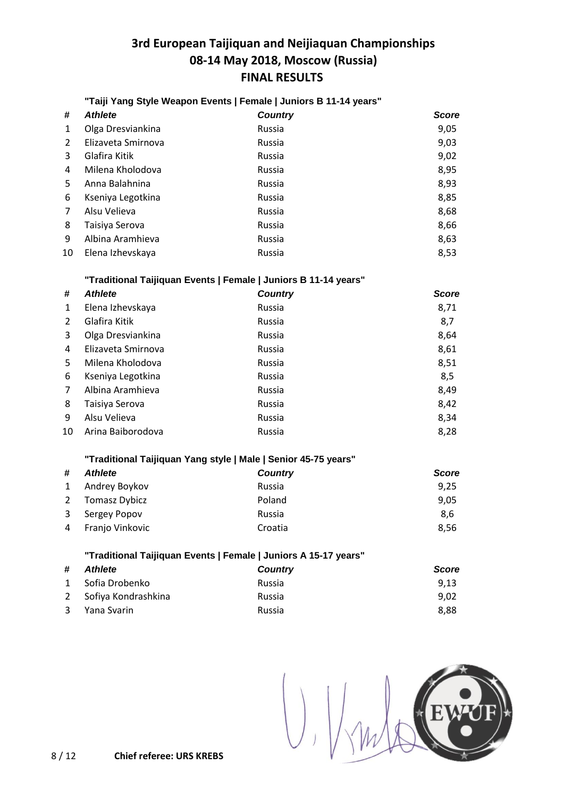### **"Taiji Yang Style Weapon Events | Female | Juniors B 11-14 years"**

| #  | <b>Athlete</b>     | <b>Country</b> | Score |
|----|--------------------|----------------|-------|
| 1  | Olga Dresviankina  | Russia         | 9,05  |
| 2  | Elizaveta Smirnova | Russia         | 9,03  |
| 3  | Glafira Kitik      | Russia         | 9,02  |
| 4  | Milena Kholodova   | Russia         | 8,95  |
| 5. | Anna Balahnina     | Russia         | 8,93  |
| 6  | Kseniya Legotkina  | Russia         | 8,85  |
| 7  | Alsu Velieva       | Russia         | 8,68  |
| 8  | Taisiya Serova     | Russia         | 8,66  |
| 9  | Albina Aramhieva   | Russia         | 8,63  |
| 10 | Elena Izhevskaya   | Russia         | 8,53  |

#### **"Traditional Taijiquan Events | Female | Juniors B 11-14 years"**

| #  | <b>Athlete</b>     | <b>Country</b> | <b>Score</b> |
|----|--------------------|----------------|--------------|
| 1  | Elena Izhevskaya   | Russia         | 8,71         |
| 2  | Glafira Kitik      | Russia         | 8,7          |
| 3  | Olga Dresviankina  | Russia         | 8,64         |
| 4  | Elizaveta Smirnova | Russia         | 8,61         |
| 5. | Milena Kholodova   | Russia         | 8,51         |
| 6  | Kseniya Legotkina  | Russia         | 8,5          |
| 7  | Albina Aramhieva   | Russia         | 8,49         |
| 8  | Taisiya Serova     | Russia         | 8,42         |
| 9  | Alsu Velieva       | Russia         | 8,34         |
| 10 | Arina Baiborodova  | Russia         | 8,28         |
|    |                    |                |              |

#### **"Traditional Taijiquan Yang style | Male | Senior 45-75 years"**

| #              | <b>Athlete</b>  | <b>Country</b> | <b>Score</b> |
|----------------|-----------------|----------------|--------------|
|                | 1 Andrey Boykov | Russia         | 9,25         |
| 2              | Tomasz Dybicz   | Poland         | 9,05         |
|                | 3 Sergey Popov  | Russia         | 8,6          |
| $\overline{4}$ | Franjo Vinkovic | Croatia        | 8.56         |

### **"Traditional Taijiquan Events | Female | Juniors A 15-17 years"**

| # | Athlete               | <b>Country</b> | <b>Score</b> |
|---|-----------------------|----------------|--------------|
|   | 1 Sofia Drobenko      | Russia         | 9.13         |
|   | 2 Sofiya Kondrashkina | Russia         | 9.02         |
|   | 3 Yana Svarin         | Russia         | 8.88         |

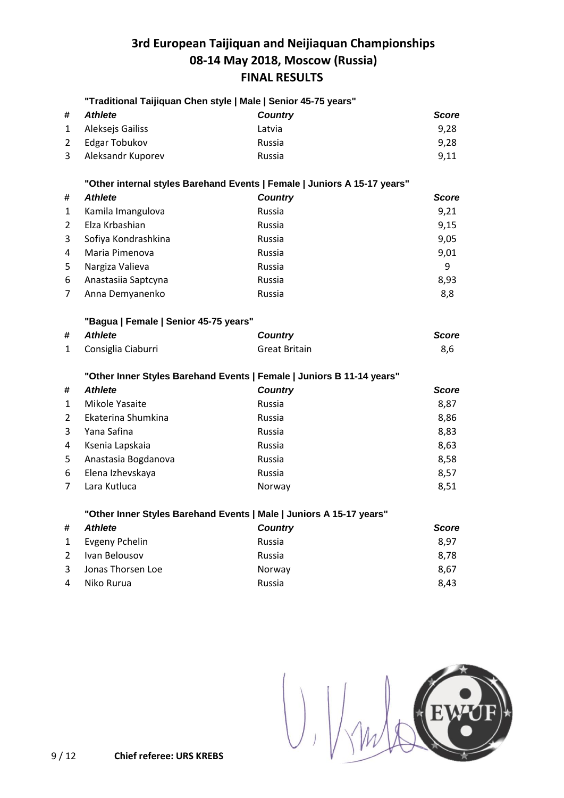|                |                                       | "Traditional Taijiquan Chen style   Male   Senior 45-75 years"           |              |
|----------------|---------------------------------------|--------------------------------------------------------------------------|--------------|
| #              | <b>Athlete</b>                        | <b>Country</b>                                                           | Score        |
| 1              | Aleksejs Gailiss                      | Latvia                                                                   | 9,28         |
| $\overline{2}$ | <b>Edgar Tobukov</b>                  | Russia                                                                   | 9,28         |
| 3              | Aleksandr Kuporev                     | Russia                                                                   | 9,11         |
|                |                                       | "Other internal styles Barehand Events   Female   Juniors A 15-17 years" |              |
| #              | <b>Athlete</b>                        | <b>Country</b>                                                           | <b>Score</b> |
| 1              | Kamila Imangulova                     | <b>Russia</b>                                                            | 9,21         |
| 2              | Elza Krbashian                        | Russia                                                                   | 9,15         |
| 3              | Sofiya Kondrashkina                   | Russia                                                                   | 9,05         |
| 4              | Maria Pimenova                        | Russia                                                                   | 9,01         |
| 5              | Nargiza Valieva                       | Russia                                                                   | 9            |
| 6              | Anastasiia Saptcyna                   | Russia                                                                   | 8,93         |
| 7              | Anna Demyanenko                       | Russia                                                                   | 8,8          |
|                | "Bagua   Female   Senior 45-75 years" |                                                                          |              |
| #              | <b>Athlete</b>                        | <b>Country</b>                                                           | <b>Score</b> |
| 1              | Consiglia Ciaburri                    | <b>Great Britain</b>                                                     | 8,6          |
|                |                                       | "Other Inner Styles Barehand Events   Female   Juniors B 11-14 years"    |              |
| #              | <b>Athlete</b>                        | <b>Country</b>                                                           | <b>Score</b> |
| 1              | Mikole Yasaite                        | <b>Russia</b>                                                            | 8,87         |
| $\overline{2}$ | Ekaterina Shumkina                    | Russia                                                                   | 8,86         |
| 3              | Yana Safina                           | <b>Russia</b>                                                            | 8,83         |
| 4              | Ksenia Lapskaia                       | Russia                                                                   | 8,63         |
| 5              | Anastasia Bogdanova                   | Russia                                                                   | 8,58         |
| 6              | Elena Izhevskaya                      | Russia                                                                   | 8,57         |
| 7              | Lara Kutluca                          | Norway                                                                   | 8,51         |
|                |                                       | "Other Inner Styles Barehand Events   Male   Juniors A 15-17 years"      |              |
| #              | <b>Athlete</b>                        | <b>Country</b>                                                           | Score        |
| 1              | <b>Evgeny Pchelin</b>                 | Russia                                                                   | 8,97         |
| 2              | Ivan Belousov                         | <b>Russia</b>                                                            | 8,78         |
| 3              | Jonas Thorsen Loe                     | Norway                                                                   | 8,67         |



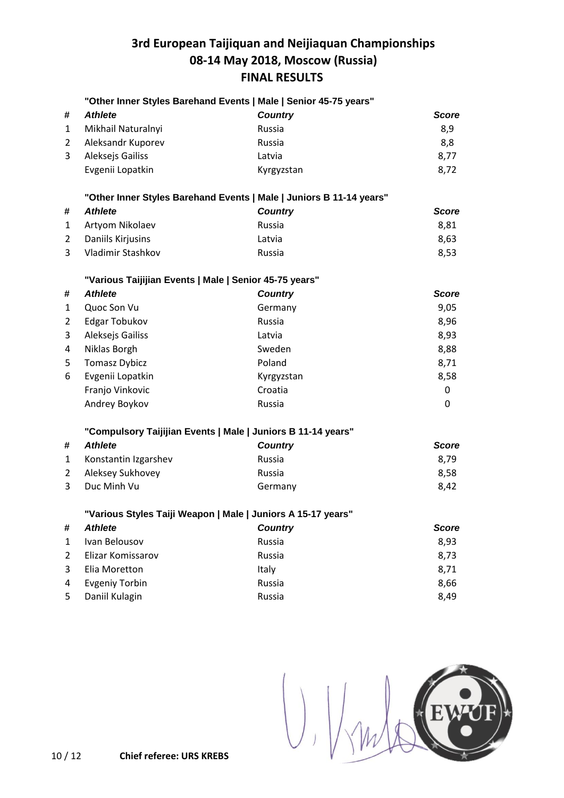|                | "Other Inner Styles Barehand Events   Male   Senior 45-75 years"    |                |              |
|----------------|---------------------------------------------------------------------|----------------|--------------|
| #              | <b>Athlete</b>                                                      | <b>Country</b> | <b>Score</b> |
| $\mathbf{1}$   | Mikhail Naturalnyi                                                  | Russia         | 8,9          |
| $\overline{2}$ | Aleksandr Kuporev                                                   | Russia         | 8,8          |
| 3              | Aleksejs Gailiss                                                    | Latvia         | 8,77         |
|                | Evgenii Lopatkin                                                    | Kyrgyzstan     | 8,72         |
|                | "Other Inner Styles Barehand Events   Male   Juniors B 11-14 years" |                |              |
| #              | <b>Athlete</b>                                                      | <b>Country</b> | <b>Score</b> |
| $\mathbf{1}$   | Artyom Nikolaev                                                     | Russia         | 8,81         |
| $\overline{2}$ | Daniils Kirjusins                                                   | Latvia         | 8,63         |
| 3              | Vladimir Stashkov                                                   | Russia         | 8,53         |
|                | "Various Taijijian Events   Male   Senior 45-75 years"              |                |              |
| #              | <b>Athlete</b>                                                      | <b>Country</b> | <b>Score</b> |
| 1              | Quoc Son Vu                                                         | Germany        | 9,05         |
| 2              | Edgar Tobukov                                                       | Russia         | 8,96         |
| 3              | Aleksejs Gailiss                                                    | Latvia         | 8,93         |
| $\overline{a}$ | Niklas Borgh                                                        | Sweden         | 8,88         |
| 5              | <b>Tomasz Dybicz</b>                                                | Poland         | 8,71         |
| 6              | Evgenii Lopatkin                                                    | Kyrgyzstan     | 8,58         |
|                | Franjo Vinkovic                                                     | Croatia        | 0            |
|                | Andrey Boykov                                                       | Russia         | 0            |
|                | "Compulsory Taijijian Events   Male   Juniors B 11-14 years"        |                |              |
| #              | <b>Athlete</b>                                                      | <b>Country</b> | <b>Score</b> |
| 1              | Konstantin Izgarshev                                                | Russia         | 8,79         |
| $\overline{2}$ | Aleksey Sukhovey                                                    | Russia         | 8,58         |
| 3              | Duc Minh Vu                                                         | Germany        | 8,42         |
|                | "Various Styles Taiji Weapon   Male   Juniors A 15-17 years"        |                |              |
| #              | <b>Athlete</b>                                                      | <b>Country</b> | <b>Score</b> |
| 1              | Ivan Belousov                                                       | Russia         | 8,93         |
| 2              | Elizar Komissarov                                                   | Russia         | 8,73         |
| 3              | Elia Moretton                                                       | Italy          | 8,71         |
| 4              | <b>Evgeniy Torbin</b>                                               | Russia         | 8,66         |
| 5              | Daniil Kulagin                                                      | Russia         | 8,49         |

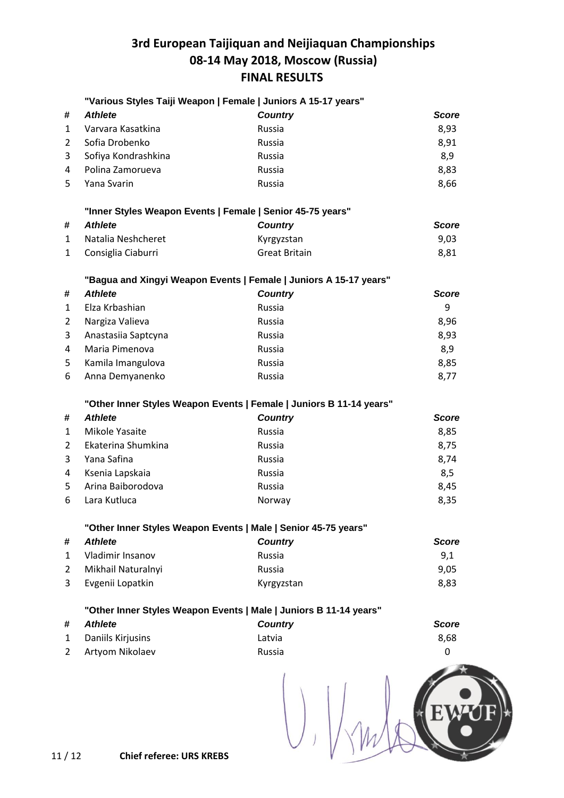|                | "Various Styles Taiji Weapon   Female   Juniors A 15-17 years"      |                      |              |
|----------------|---------------------------------------------------------------------|----------------------|--------------|
| #              | <b>Athlete</b>                                                      | <b>Country</b>       | <b>Score</b> |
| 1              | Varvara Kasatkina                                                   | Russia               | 8,93         |
| 2              | Sofia Drobenko                                                      | Russia               | 8,91         |
| 3              | Sofiya Kondrashkina                                                 | Russia               | 8,9          |
| 4              | Polina Zamorueva                                                    | Russia               | 8,83         |
| 5              | Yana Svarin                                                         | Russia               | 8,66         |
|                | "Inner Styles Weapon Events   Female   Senior 45-75 years"          |                      |              |
| #              | <b>Athlete</b>                                                      | <b>Country</b>       | <b>Score</b> |
| $\mathbf 1$    | Natalia Neshcheret                                                  | Kyrgyzstan           | 9,03         |
| 1              | Consiglia Ciaburri                                                  | <b>Great Britain</b> | 8,81         |
|                | "Bagua and Xingyi Weapon Events   Female   Juniors A 15-17 years"   |                      |              |
| #              | <b>Athlete</b>                                                      | <b>Country</b>       | <b>Score</b> |
| 1              | Elza Krbashian                                                      | Russia               | 9            |
| 2              | Nargiza Valieva                                                     | Russia               | 8,96         |
| 3              | Anastasiia Saptcyna                                                 | Russia               | 8,93         |
| 4              | Maria Pimenova                                                      | <b>Russia</b>        | 8,9          |
| 5              | Kamila Imangulova                                                   | Russia               | 8,85         |
| 6              | Anna Demyanenko                                                     | Russia               | 8,77         |
|                |                                                                     |                      |              |
|                | "Other Inner Styles Weapon Events   Female   Juniors B 11-14 years" |                      |              |
| #              | <b>Athlete</b>                                                      | <b>Country</b>       | <b>Score</b> |
| 1              | Mikole Yasaite                                                      | Russia               | 8,85         |
| 2              | Ekaterina Shumkina                                                  | Russia               | 8,75         |
| 3              | Yana Safina                                                         | Russia               | 8,74         |
| 4              | Ksenia Lapskaia                                                     | Russia               | 8,5          |
| 5              | Arina Baiborodova                                                   | Russia               | 8,45         |
| 6              | Lara Kutluca                                                        | Norway               | 8,35         |
|                | "Other Inner Styles Weapon Events   Male   Senior 45-75 years"      |                      |              |
| #              | <b>Athlete</b>                                                      | <b>Country</b>       | <b>Score</b> |
| 1              | Vladimir Insanov                                                    | Russia               | 9,1          |
| 2              | Mikhail Naturalnyi                                                  | Russia               | 9,05         |
| 3              | Evgenii Lopatkin                                                    | Kyrgyzstan           | 8,83         |
|                | "Other Inner Styles Weapon Events   Male   Juniors B 11-14 years"   |                      |              |
| #              | <b>Athlete</b>                                                      | <b>Country</b>       | <b>Score</b> |
| 1              | Daniils Kirjusins                                                   | Latvia               | 8,68         |
| $\overline{2}$ | Artyom Nikolaev                                                     | Russia               | 0            |
|                |                                                                     |                      |              |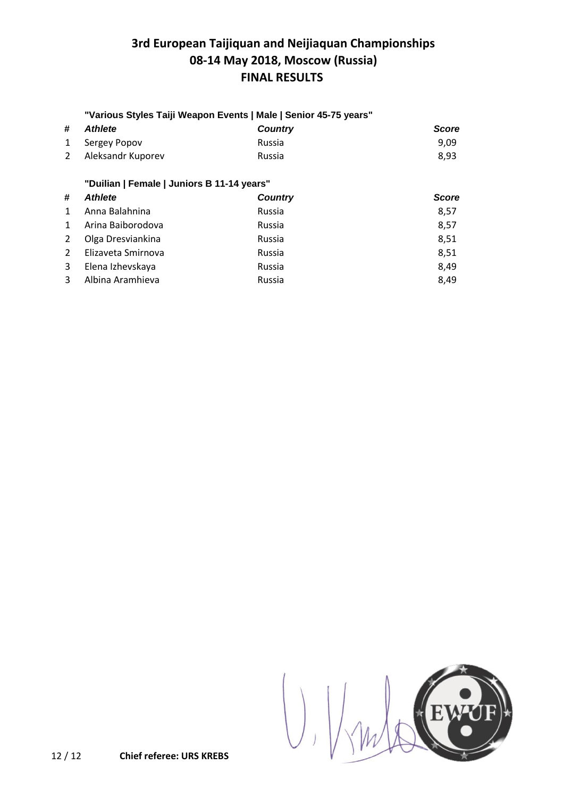### **"Various Styles Taiji Weapon Events | Male | Senior 45-75 years"**

| # Athlete           | <b>Country</b> | <b>Score</b> |
|---------------------|----------------|--------------|
| 1 Sergey Popov      | Russia         | 9.09         |
| 2 Aleksandr Kuporev | Russia         | 8.93         |

### **"Duilian | Female | Juniors B 11-14 years"**

| #            | <b>Athlete</b>     | <b>Country</b> | <b>Score</b> |
|--------------|--------------------|----------------|--------------|
| $\mathbf{1}$ | Anna Balahnina     | Russia         | 8,57         |
| $\mathbf{1}$ | Arina Baiborodova  | Russia         | 8,57         |
| $2^{\circ}$  | Olga Dresviankina  | Russia         | 8,51         |
| 2            | Elizaveta Smirnova | Russia         | 8,51         |
| 3            | Elena Izhevskaya   | Russia         | 8,49         |
| 3            | Albina Aramhieva   | Russia         | 8,49         |

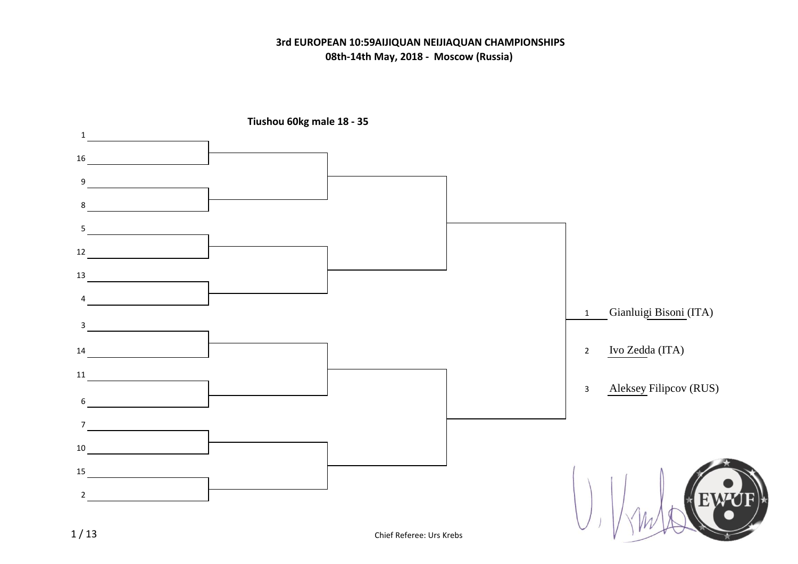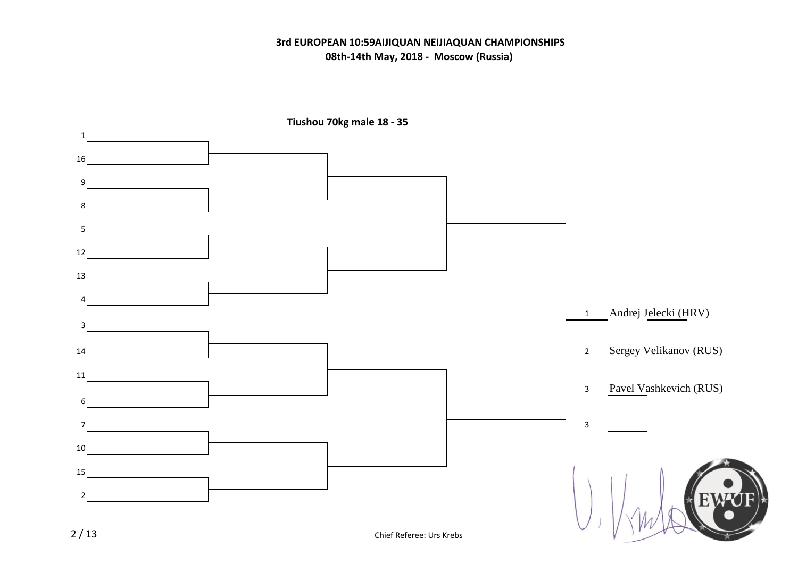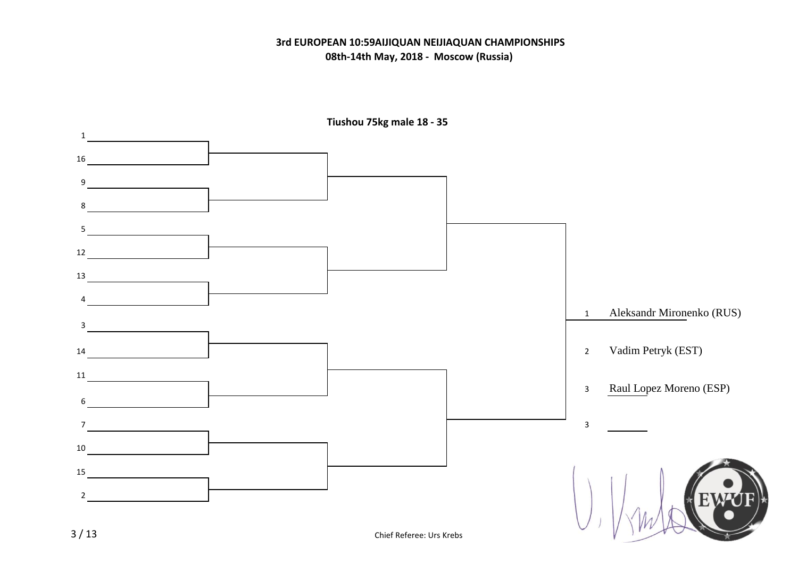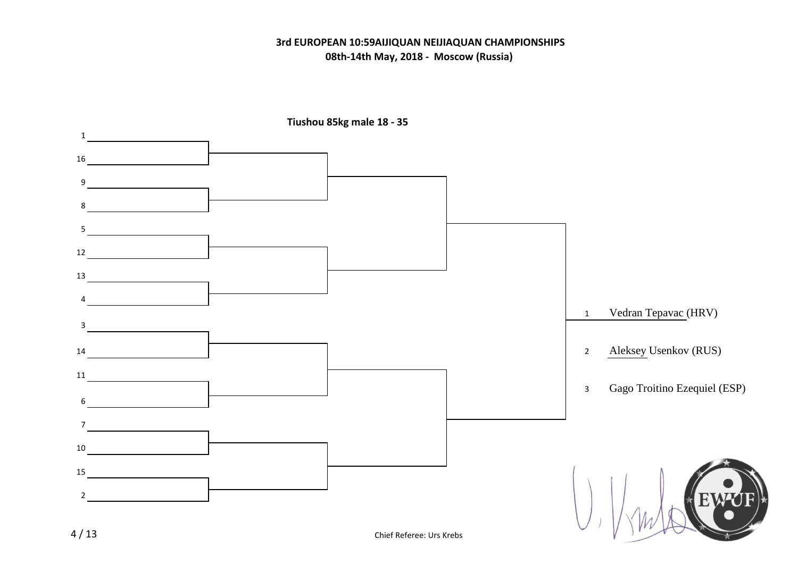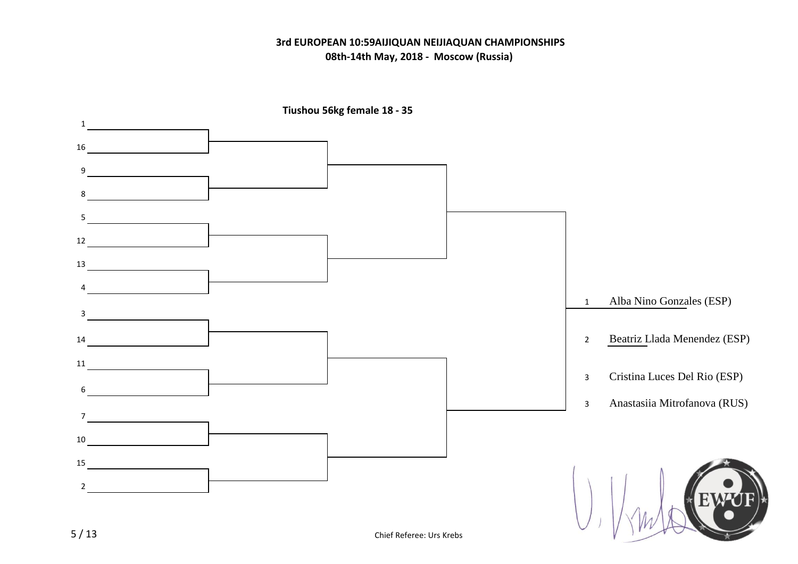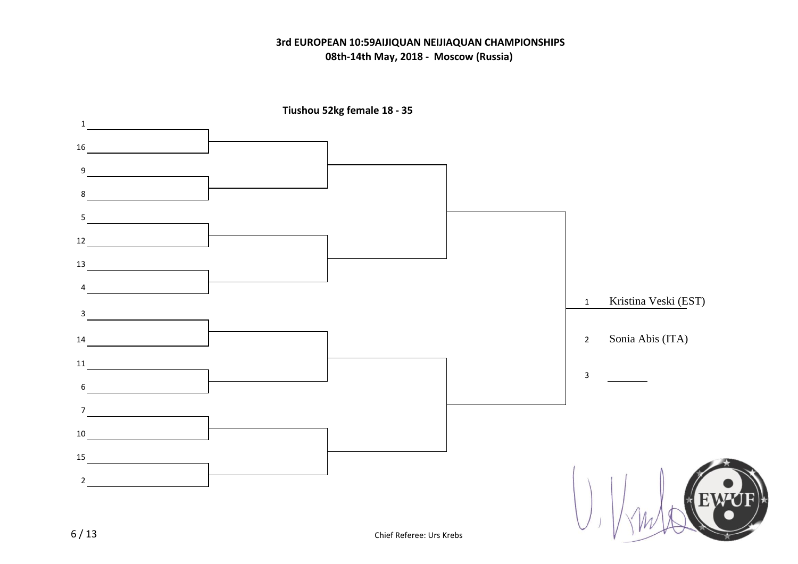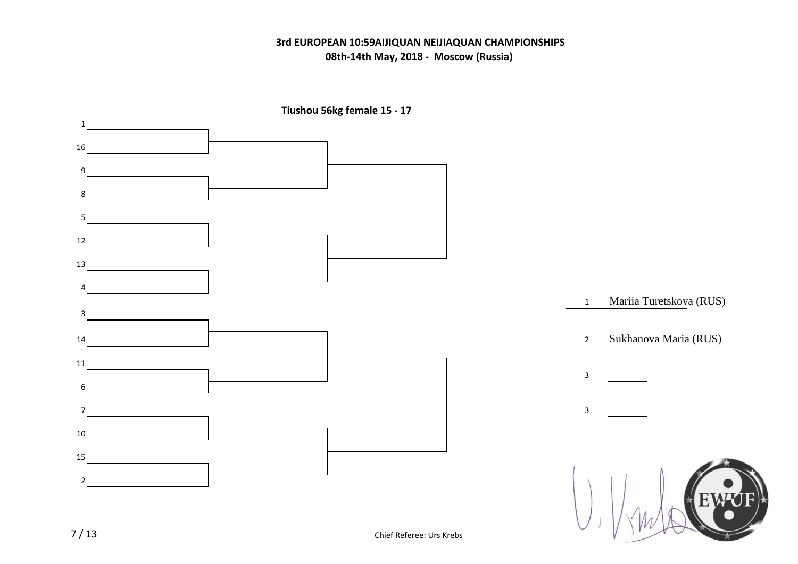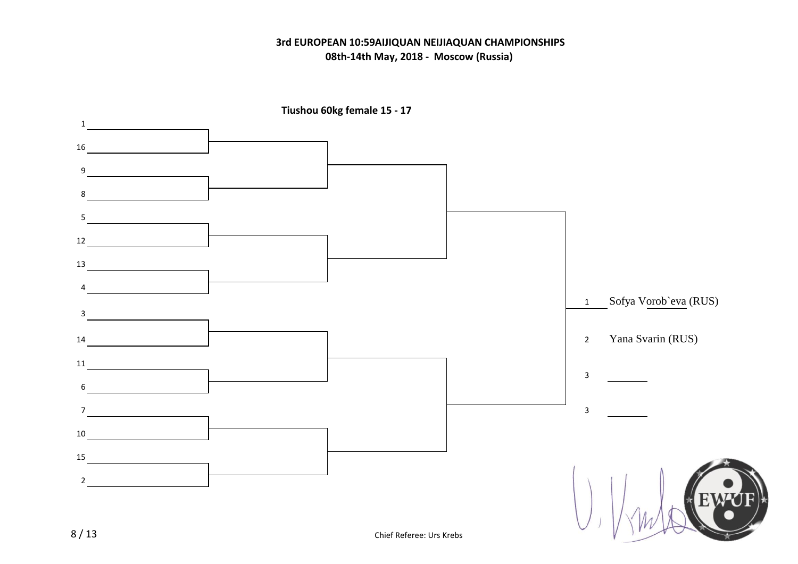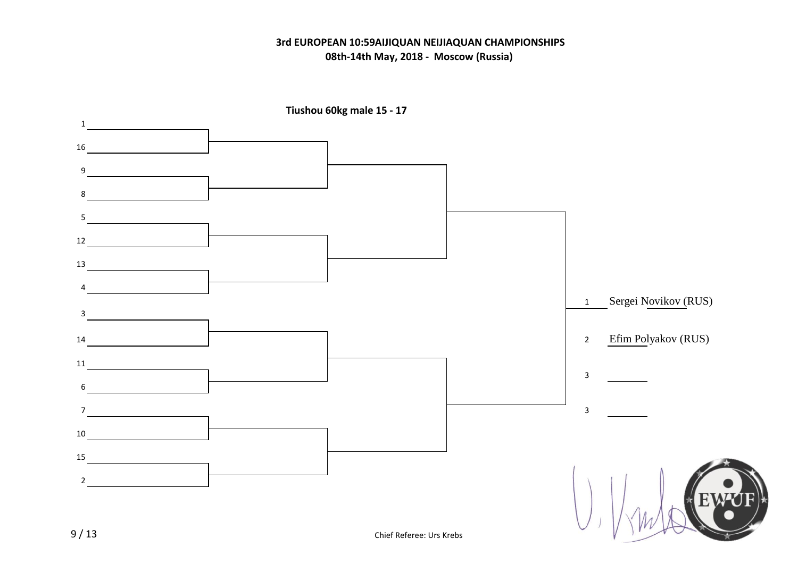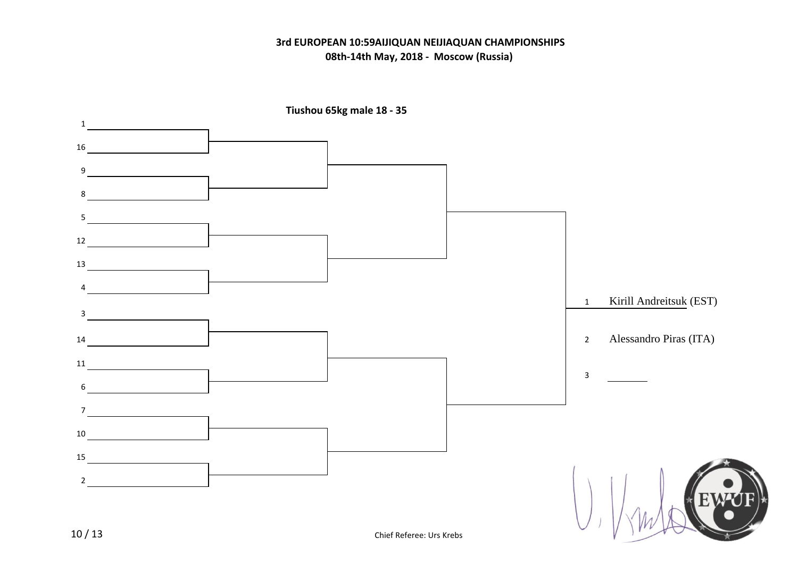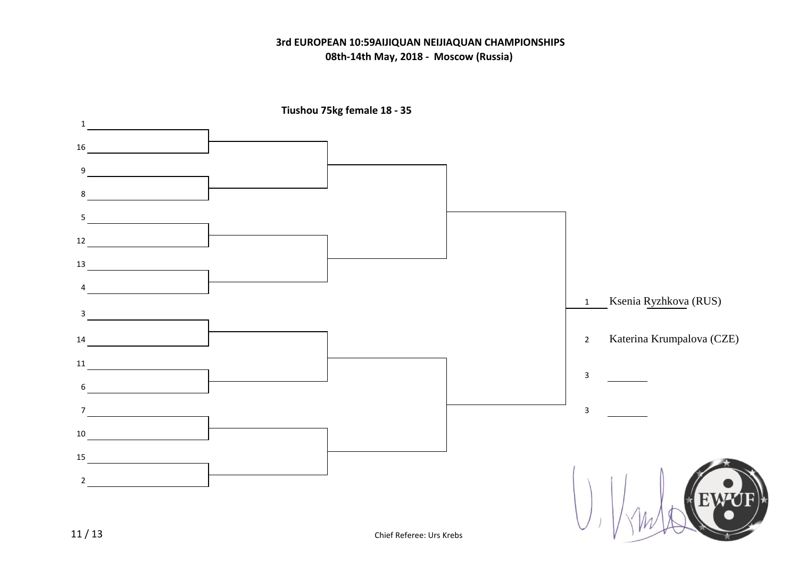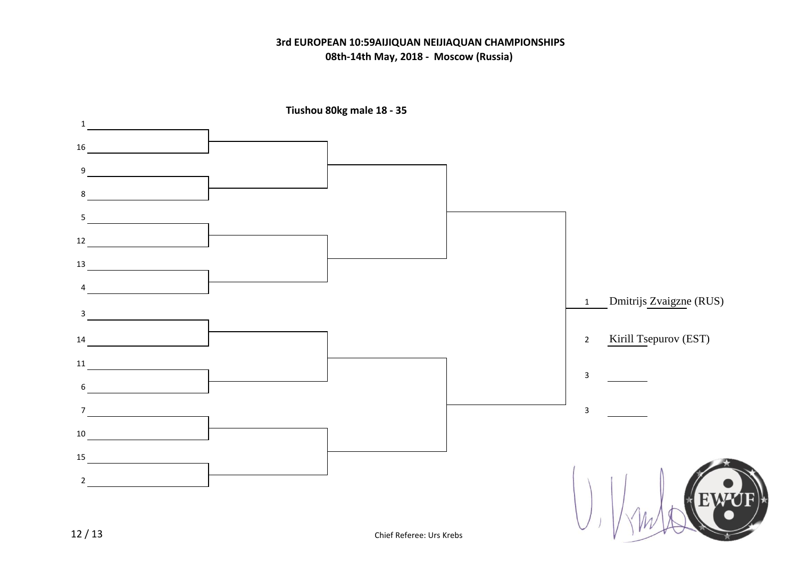